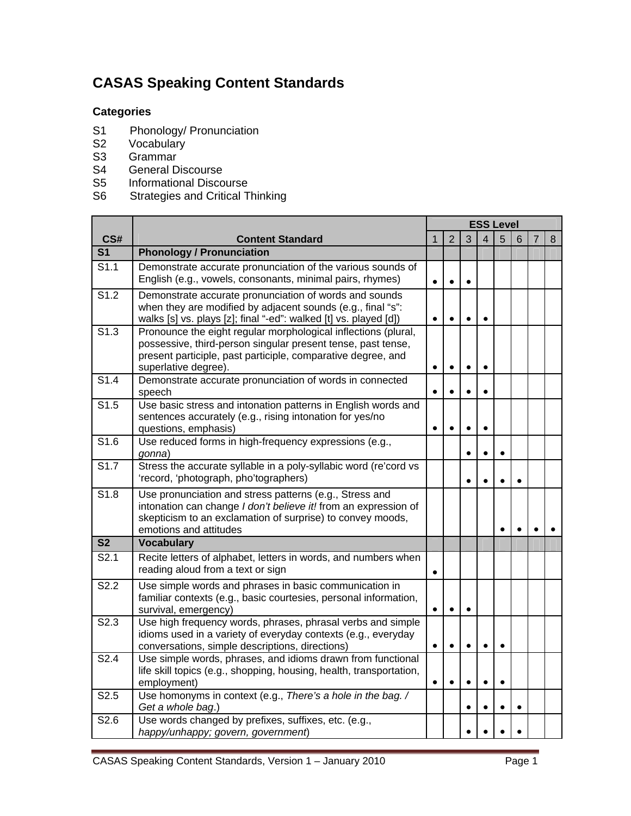## **CASAS Speaking Content Standards**

## **Categories**

- S1 Phonology/ Pronunciation<br>S2 Vocabulary
- Vocabulary
- S3 Grammar
- S4 General Discourse
- S5 Informational Discourse
- S6 Strategies and Critical Thinking

|                   |                                                                                                                                                                                                                        | <b>ESS Level</b> |                |           |           |           |   |                |   |
|-------------------|------------------------------------------------------------------------------------------------------------------------------------------------------------------------------------------------------------------------|------------------|----------------|-----------|-----------|-----------|---|----------------|---|
| CS#               | <b>Content Standard</b>                                                                                                                                                                                                | $\mathbf{1}$     | $\overline{2}$ | 3         | 4         | 5         | 6 | $\overline{7}$ | 8 |
| S <sub>1</sub>    | <b>Phonology / Pronunciation</b>                                                                                                                                                                                       |                  |                |           |           |           |   |                |   |
| S1.1              | Demonstrate accurate pronunciation of the various sounds of<br>English (e.g., vowels, consonants, minimal pairs, rhymes)                                                                                               | $\bullet$        | $\bullet$      |           |           |           |   |                |   |
| S <sub>1.2</sub>  | Demonstrate accurate pronunciation of words and sounds<br>when they are modified by adjacent sounds (e.g., final "s":<br>walks [s] vs. plays [z]; final "-ed": walked [t] vs. played [d])                              | $\bullet$        | $\bullet$      | $\bullet$ |           |           |   |                |   |
| $\overline{S1.3}$ | Pronounce the eight regular morphological inflections (plural,<br>possessive, third-person singular present tense, past tense,<br>present participle, past participle, comparative degree, and<br>superlative degree). | $\bullet$        | $\bullet$      | $\bullet$ | $\bullet$ |           |   |                |   |
| S1.4              | Demonstrate accurate pronunciation of words in connected<br>speech                                                                                                                                                     | $\bullet$        |                | $\bullet$ |           |           |   |                |   |
| S1.5              | Use basic stress and intonation patterns in English words and<br>sentences accurately (e.g., rising intonation for yes/no<br>questions, emphasis)                                                                      | $\bullet$        |                |           | $\bullet$ |           |   |                |   |
| S1.6              | Use reduced forms in high-frequency expressions (e.g.,<br>gonna)                                                                                                                                                       |                  |                |           |           | $\bullet$ |   |                |   |
| S1.7              | Stress the accurate syllable in a poly-syllabic word (re'cord vs<br>'record, 'photograph, pho'tographers)                                                                                                              |                  |                |           |           |           |   |                |   |
| S1.8              | Use pronunciation and stress patterns (e.g., Stress and<br>intonation can change I don't believe it! from an expression of<br>skepticism to an exclamation of surprise) to convey moods,<br>emotions and attitudes     |                  |                |           |           | $\bullet$ |   |                |   |
| S <sub>2</sub>    | <b>Vocabulary</b>                                                                                                                                                                                                      |                  |                |           |           |           |   |                |   |
| S2.1              | Recite letters of alphabet, letters in words, and numbers when<br>reading aloud from a text or sign                                                                                                                    | $\bullet$        |                |           |           |           |   |                |   |
| S2.2              | Use simple words and phrases in basic communication in<br>familiar contexts (e.g., basic courtesies, personal information,<br>survival, emergency)                                                                     | $\bullet$        |                |           |           |           |   |                |   |
| S2.3              | Use high frequency words, phrases, phrasal verbs and simple<br>idioms used in a variety of everyday contexts (e.g., everyday<br>conversations, simple descriptions, directions)                                        | $\bullet$        | $\bullet$      | $\bullet$ | $\bullet$ | $\bullet$ |   |                |   |
| S <sub>2.4</sub>  | Use simple words, phrases, and idioms drawn from functional<br>life skill topics (e.g., shopping, housing, health, transportation,<br>employment)                                                                      | $\bullet$        | $\bullet$      | $\bullet$ | $\bullet$ | $\bullet$ |   |                |   |
| S <sub>2.5</sub>  | Use homonyms in context (e.g., There's a hole in the bag. /<br>Get a whole bag.)                                                                                                                                       |                  |                | $\bullet$ |           |           |   |                |   |
| S2.6              | Use words changed by prefixes, suffixes, etc. (e.g.,<br>happy/unhappy; govern, government)                                                                                                                             |                  |                |           |           |           |   |                |   |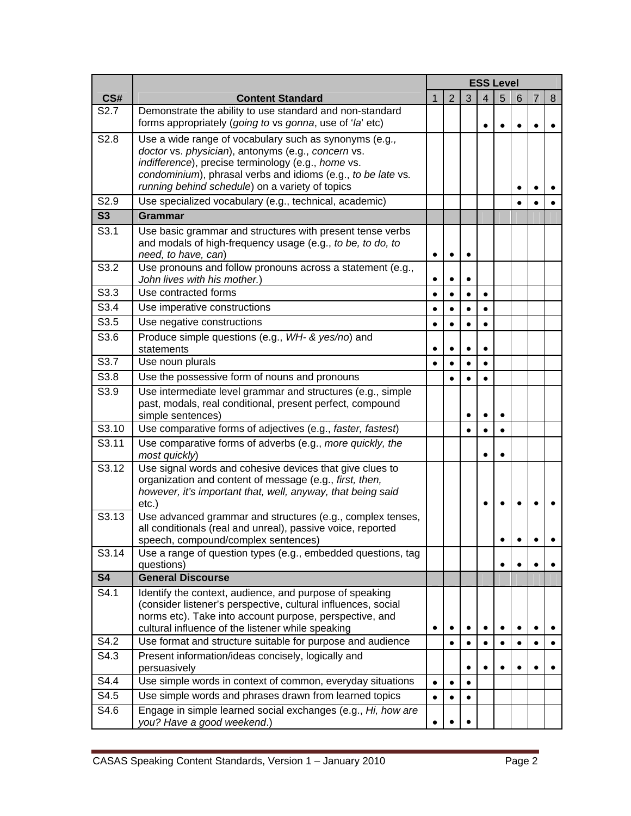|                  |                                                                                                                                                                                                                                                                                       | <b>ESS Level</b> |           |           |           |           |   |           |   |
|------------------|---------------------------------------------------------------------------------------------------------------------------------------------------------------------------------------------------------------------------------------------------------------------------------------|------------------|-----------|-----------|-----------|-----------|---|-----------|---|
| CS#              | <b>Content Standard</b>                                                                                                                                                                                                                                                               | $\mathbf{1}$     | 2         | 3         | 4         | 5         | 6 | 7         | 8 |
| S <sub>2.7</sub> | Demonstrate the ability to use standard and non-standard<br>forms appropriately (going to vs gonna, use of 'la' etc)                                                                                                                                                                  |                  |           |           | $\bullet$ |           |   |           |   |
| S2.8             | Use a wide range of vocabulary such as synonyms (e.g.,<br>doctor vs. physician), antonyms (e.g., concern vs.<br>indifference), precise terminology (e.g., home vs.<br>condominium), phrasal verbs and idioms (e.g., to be late vs.<br>running behind schedule) on a variety of topics |                  |           |           |           |           |   |           |   |
| S2.9             | Use specialized vocabulary (e.g., technical, academic)                                                                                                                                                                                                                                |                  |           |           |           |           |   |           |   |
| S3               | Grammar                                                                                                                                                                                                                                                                               |                  |           |           |           |           |   |           |   |
| S3.1             | Use basic grammar and structures with present tense verbs<br>and modals of high-frequency usage (e.g., to be, to do, to<br>need, to have, can)                                                                                                                                        | $\bullet$        |           |           |           |           |   |           |   |
| S3.2             | Use pronouns and follow pronouns across a statement (e.g.,<br>John lives with his mother.)                                                                                                                                                                                            | $\bullet$        |           |           |           |           |   |           |   |
| S3.3             | Use contracted forms                                                                                                                                                                                                                                                                  | $\bullet$        | $\bullet$ | $\bullet$ | $\bullet$ |           |   |           |   |
| S3.4             | Use imperative constructions                                                                                                                                                                                                                                                          | $\bullet$        |           | $\bullet$ | $\bullet$ |           |   |           |   |
| S3.5             | Use negative constructions                                                                                                                                                                                                                                                            | $\bullet$        |           |           | $\bullet$ |           |   |           |   |
| S3.6             | Produce simple questions (e.g., WH- & yes/no) and<br>statements                                                                                                                                                                                                                       | $\bullet$        |           |           | $\bullet$ |           |   |           |   |
| S3.7             | Use noun plurals                                                                                                                                                                                                                                                                      | $\bullet$        |           |           | $\bullet$ |           |   |           |   |
| S3.8             | Use the possessive form of nouns and pronouns                                                                                                                                                                                                                                         |                  |           |           | $\bullet$ |           |   |           |   |
| S3.9             | Use intermediate level grammar and structures (e.g., simple<br>past, modals, real conditional, present perfect, compound<br>simple sentences)                                                                                                                                         |                  |           |           | $\bullet$ | $\bullet$ |   |           |   |
| S3.10            | Use comparative forms of adjectives (e.g., faster, fastest)                                                                                                                                                                                                                           |                  |           | $\bullet$ | $\bullet$ | $\bullet$ |   |           |   |
| S3.11            | Use comparative forms of adverbs (e.g., more quickly, the<br>most quickly)                                                                                                                                                                                                            |                  |           |           | $\bullet$ |           |   |           |   |
| S3.12            | Use signal words and cohesive devices that give clues to<br>organization and content of message (e.g., first, then,<br>however, it's important that, well, anyway, that being said<br>$etc.$ )                                                                                        |                  |           |           |           |           |   |           |   |
| S3.13            | Use advanced grammar and structures (e.g., complex tenses,<br>all conditionals (real and unreal), passive voice, reported<br>speech, compound/complex sentences)                                                                                                                      |                  |           |           |           |           |   |           |   |
| S3.14            | Use a range of question types (e.g., embedded questions, tag<br>questions)                                                                                                                                                                                                            |                  |           |           |           |           |   |           |   |
| <b>S4</b>        | <b>General Discourse</b>                                                                                                                                                                                                                                                              |                  |           |           |           |           |   |           |   |
| S4.1             | Identify the context, audience, and purpose of speaking<br>(consider listener's perspective, cultural influences, social<br>norms etc). Take into account purpose, perspective, and<br>cultural influence of the listener while speaking                                              | $\bullet$        |           |           | $\bullet$ |           |   | $\bullet$ |   |
| S4.2             | Use format and structure suitable for purpose and audience                                                                                                                                                                                                                            |                  |           |           | ٠         |           |   |           |   |
| S4.3             | Present information/ideas concisely, logically and<br>persuasively                                                                                                                                                                                                                    |                  |           |           | ٠         |           |   |           |   |
| S4.4             | Use simple words in context of common, everyday situations                                                                                                                                                                                                                            | $\bullet$        | $\bullet$ |           |           |           |   |           |   |
| S4.5             | Use simple words and phrases drawn from learned topics                                                                                                                                                                                                                                | $\bullet$        |           |           |           |           |   |           |   |
| S4.6             | Engage in simple learned social exchanges (e.g., Hi, how are<br>you? Have a good weekend.)                                                                                                                                                                                            | $\bullet$        |           |           |           |           |   |           |   |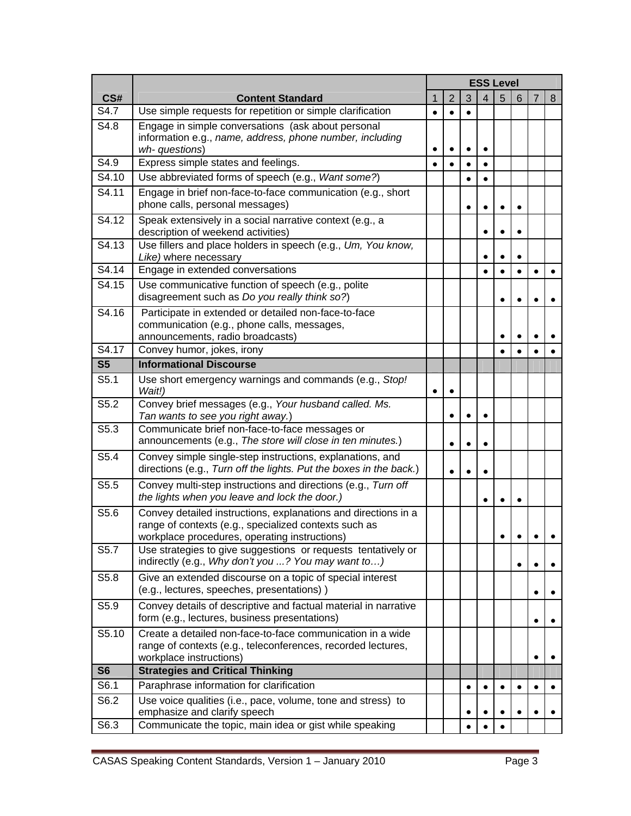|                          |                                                                                                                                 | <b>ESS Level</b> |                |   |           |   |   |           |   |
|--------------------------|---------------------------------------------------------------------------------------------------------------------------------|------------------|----------------|---|-----------|---|---|-----------|---|
| CS#                      | <b>Content Standard</b>                                                                                                         | $\mathbf{1}$     | $\overline{2}$ | 3 | 4         | 5 | 6 | 7         | 8 |
| S4.7                     | Use simple requests for repetition or simple clarification                                                                      | $\bullet$        |                |   |           |   |   |           |   |
| S4.8                     | Engage in simple conversations (ask about personal                                                                              |                  |                |   |           |   |   |           |   |
|                          | information e.g., name, address, phone number, including<br>wh- questions)                                                      | $\bullet$        |                |   |           |   |   |           |   |
| S4.9                     | Express simple states and feelings.                                                                                             | $\bullet$        |                |   | $\bullet$ |   |   |           |   |
| S4.10                    | Use abbreviated forms of speech (e.g., Want some?)                                                                              |                  |                |   |           |   |   |           |   |
| S4.11                    | Engage in brief non-face-to-face communication (e.g., short                                                                     |                  |                |   |           |   |   |           |   |
|                          | phone calls, personal messages)                                                                                                 |                  |                |   |           |   |   |           |   |
| S4.12                    | Speak extensively in a social narrative context (e.g., a<br>description of weekend activities)                                  |                  |                |   | $\bullet$ |   |   |           |   |
| S4.13                    | Use fillers and place holders in speech (e.g., Um, You know,<br>Like) where necessary                                           |                  |                |   |           |   |   |           |   |
| S4.14                    | Engage in extended conversations                                                                                                |                  |                |   |           |   |   |           |   |
| S4.15                    | Use communicative function of speech (e.g., polite<br>disagreement such as Do you really think so?)                             |                  |                |   |           |   |   |           |   |
| S4.16                    | Participate in extended or detailed non-face-to-face                                                                            |                  |                |   |           |   |   |           |   |
|                          | communication (e.g., phone calls, messages,                                                                                     |                  |                |   |           |   |   |           |   |
|                          | announcements, radio broadcasts)                                                                                                |                  |                |   |           |   |   |           |   |
| S4.17                    | Convey humor, jokes, irony                                                                                                      |                  |                |   |           |   |   |           |   |
| S <sub>5</sub>           | <b>Informational Discourse</b>                                                                                                  |                  |                |   |           |   |   |           |   |
| $\overline{\text{S5.1}}$ | Use short emergency warnings and commands (e.g., Stop!<br>Wait!)                                                                | $\bullet$        |                |   |           |   |   |           |   |
| S5.2                     | Convey brief messages (e.g., Your husband called. Ms.<br>Tan wants to see you right away.)                                      |                  |                |   | $\bullet$ |   |   |           |   |
| S5.3                     | Communicate brief non-face-to-face messages or<br>announcements (e.g., The store will close in ten minutes.)                    |                  |                |   | $\bullet$ |   |   |           |   |
| S5.4                     | Convey simple single-step instructions, explanations, and<br>directions (e.g., Turn off the lights. Put the boxes in the back.) |                  |                |   | $\bullet$ |   |   |           |   |
| S5.5                     | Convey multi-step instructions and directions (e.g., Turn off<br>the lights when you leave and lock the door.)                  |                  |                |   | $\bullet$ |   |   |           |   |
| S5.6                     | Convey detailed instructions, explanations and directions in a                                                                  |                  |                |   |           |   |   |           |   |
|                          | range of contexts (e.g., specialized contexts such as<br>workplace procedures, operating instructions)                          |                  |                |   |           |   |   |           |   |
| S5.7                     | Use strategies to give suggestions or requests tentatively or<br>indirectly (e.g., Why don't you ? You may want to)             |                  |                |   |           |   |   | $\bullet$ |   |
| S5.8                     | Give an extended discourse on a topic of special interest<br>(e.g., lectures, speeches, presentations))                         |                  |                |   |           |   |   | $\bullet$ |   |
| S5.9                     | Convey details of descriptive and factual material in narrative<br>form (e.g., lectures, business presentations)                |                  |                |   |           |   |   | $\bullet$ |   |
| S5.10                    | Create a detailed non-face-to-face communication in a wide                                                                      |                  |                |   |           |   |   |           |   |
|                          | range of contexts (e.g., teleconferences, recorded lectures,<br>workplace instructions)                                         |                  |                |   |           |   |   | $\bullet$ |   |
| <b>S6</b>                | <b>Strategies and Critical Thinking</b>                                                                                         |                  |                |   |           |   |   |           |   |
| S6.1                     | Paraphrase information for clarification                                                                                        |                  |                | ٠ | $\bullet$ |   |   | $\bullet$ |   |
| S6.2                     | Use voice qualities (i.e., pace, volume, tone and stress) to<br>emphasize and clarify speech                                    |                  |                |   |           |   |   |           |   |
| S6.3                     | Communicate the topic, main idea or gist while speaking                                                                         |                  |                |   |           |   |   |           |   |